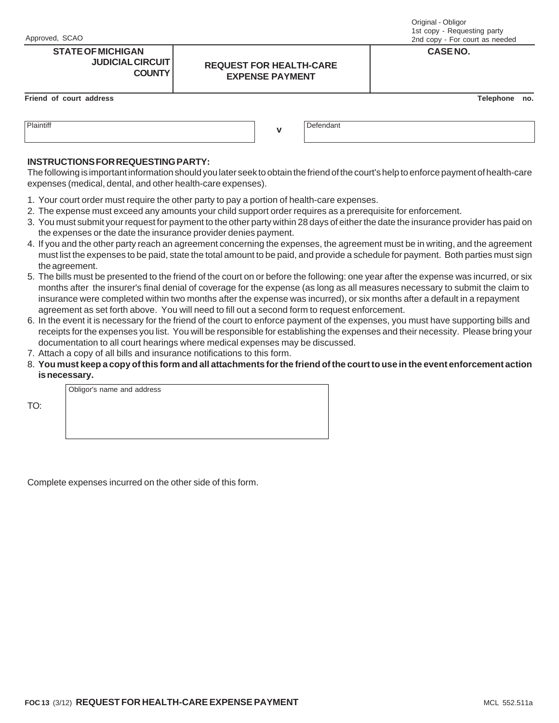TO:

## **STATE OF MICHIGAN CASE NO. JUDICIAL CIRCUIT COUNTY**

### Original - Obligor 1st copy - Requesting party 2nd copy - For court as needed

### **Friend of court address Telephone no.**

| Plaintiff<br>$\cdots$<br>. <del>.</del> | --<br>belendani |
|-----------------------------------------|-----------------|
|                                         |                 |

# **INSTRUCTIONS FOR REQUESTING PARTY:**

The following is important information should you later seek to obtain the friend of the court's help to enforce payment of health-care expenses (medical, dental, and other health-care expenses).

**REQUEST FOR HEALTH-CARE EXPENSE PAYMENT**

- 1. Your court order must require the other party to pay a portion of health-care expenses.
- 2. The expense must exceed any amounts your child support order requires as a prerequisite for enforcement.
- 3. You must submit your request for payment to the other party within 28 days of either the date the insurance provider has paid on the expenses or the date the insurance provider denies payment.
- 4. If you and the other party reach an agreement concerning the expenses, the agreement must be in writing, and the agreement must list the expenses to be paid, state the total amount to be paid, and provide a schedule for payment. Both parties must sign the agreement.
- 5. The bills must be presented to the friend of the court on or before the following: one year after the expense was incurred, or six months after the insurer's final denial of coverage for the expense (as long as all measures necessary to submit the claim to insurance were completed within two months after the expense was incurred), or six months after a default in a repayment agreement as set forth above. You will need to fill out a second form to request enforcement.
- 6. In the event it is necessary for the friend of the court to enforce payment of the expenses, you must have supporting bills and receipts for the expenses you list. You will be responsible for establishing the expenses and their necessity. Please bring your documentation to all court hearings where medical expenses may be discussed.
- 7. Attach a copy of all bills and insurance notifications to this form.
- 8. **You must keep a copy of this form and all attachments for the friend of the court to use in the event enforcement action is necessary.**

Obligor's name and address

Complete expenses incurred on the other side of this form.